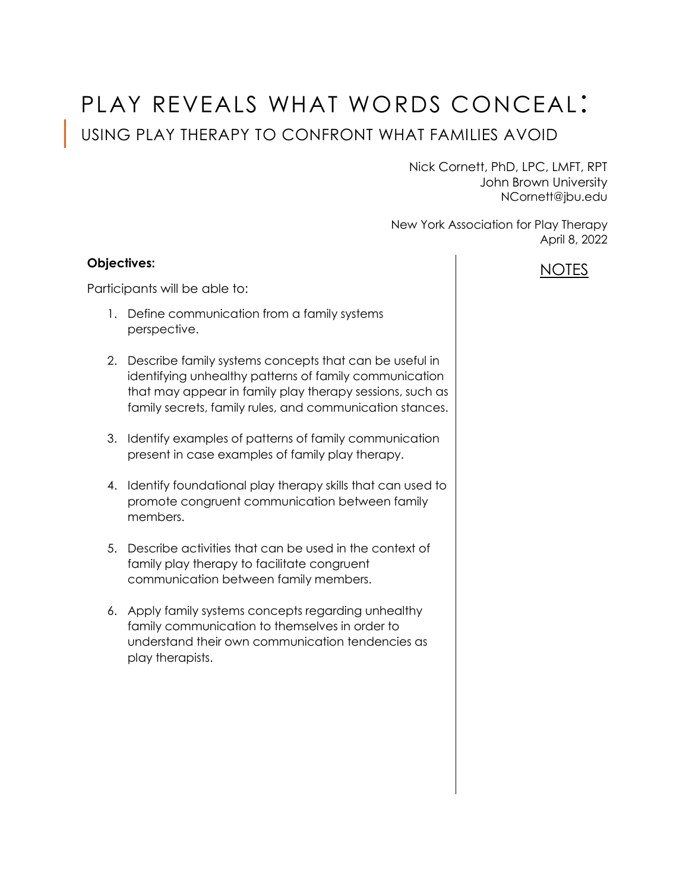# PLAY REVEALS WHAT WORDS CONCEAL: USING PLAY THERAPY TO CONFRONT WHAT FAMILIES AVOID

Nick Cornett, PhD, LPC, LMFT, RPT John Brown University NCornett@jbu.edu

New York Association for Play Therapy April 8, 2022

### **Objectives:**

Participants will be able to:

- 1. Define communication from a family systems perspective.
- 2. Describe family systems concepts that can be useful in identifying unhealthy patterns of family communication that may appear in family play therapy sessions, such as family secrets, family rules, and communication stances.
- 3. Identify examples of patterns of family communication present in case examples of family play therapy.
- 4. Identify foundational play therapy skills that can used to promote congruent communication between family members.
- 5. Describe activities that can be used in the context of family play therapy to facilitate congruent communication between family members.
- 6. Apply family systems concepts regarding unhealthy family communication to themselves in order to understand their own communication tendencies as play therapists.

## NOTES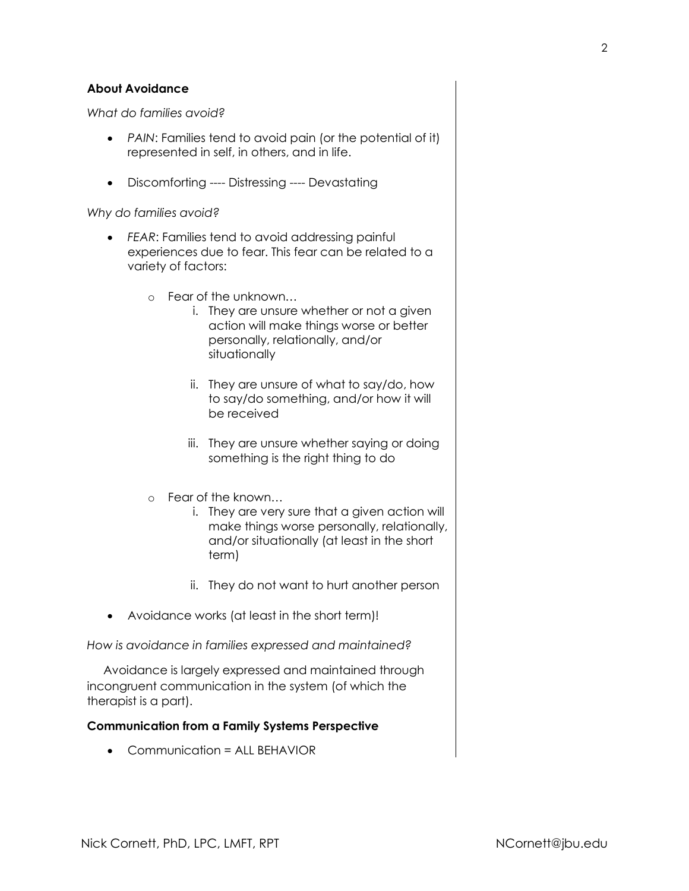#### **About Avoidance**

*What do families avoid?*

- *PAIN*: Families tend to avoid pain (or the potential of it) represented in self, in others, and in life.
- Discomforting ---- Distressing ---- Devastating

*Why do families avoid?*

- *FEAR*: Families tend to avoid addressing painful experiences due to fear. This fear can be related to a variety of factors:
	- o Fear of the unknown…
		- i. They are unsure whether or not a given action will make things worse or better personally, relationally, and/or situationally
		- ii. They are unsure of what to say/do, how to say/do something, and/or how it will be received
		- iii. They are unsure whether saying or doing something is the right thing to do
	- o Fear of the known…
		- i. They are very sure that a given action will make things worse personally, relationally, and/or situationally (at least in the short term)
		- ii. They do not want to hurt another person
- Avoidance works (at least in the short term)!

*How is avoidance in families expressed and maintained?* 

 Avoidance is largely expressed and maintained through incongruent communication in the system (of which the therapist is a part).

#### **Communication from a Family Systems Perspective**

Communication = ALL BEHAVIOR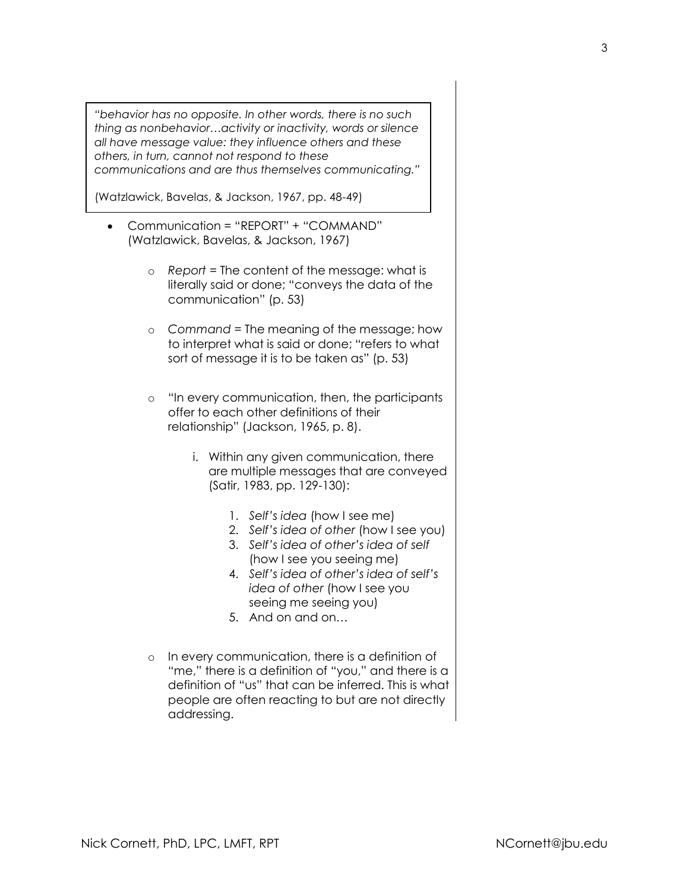*"behavior has no opposite. In other words, there is no such thing as nonbehavior…activity or inactivity, words or silence all have message value: they influence others and these others, in turn, cannot not respond to these communications and are thus themselves communicating."* 

(Watzlawick, Bavelas, & Jackson, 1967, pp. 48-49)

- Communication = "REPORT" + "COMMAND" (Watzlawick, Bavelas, & Jackson, 1967)
	- o *Report* = The content of the message: what is literally said or done; "conveys the data of the communication" (p. 53)
	- o *Command* = The meaning of the message; how to interpret what is said or done; "refers to what sort of message it is to be taken as" (p. 53)
	- o "In every communication, then, the participants offer to each other definitions of their relationship" (Jackson, 1965, p. 8).
		- i. Within any given communication, there are multiple messages that are conveyed (Satir, 1983, pp. 129-130):
			- 1. *Self's idea* (how I see me)
			- 2. *Self's idea of other* (how I see you)
			- 3. *Self's idea of other's idea of self* (how I see you seeing me)
			- 4. *Self's idea of other's idea of self's idea of other* (how I see you seeing me seeing you)
			- 5. And on and on…
	- o In every communication, there is a definition of "me," there is a definition of "you," and there is a definition of "us" that can be inferred. This is what people are often reacting to but are not directly addressing.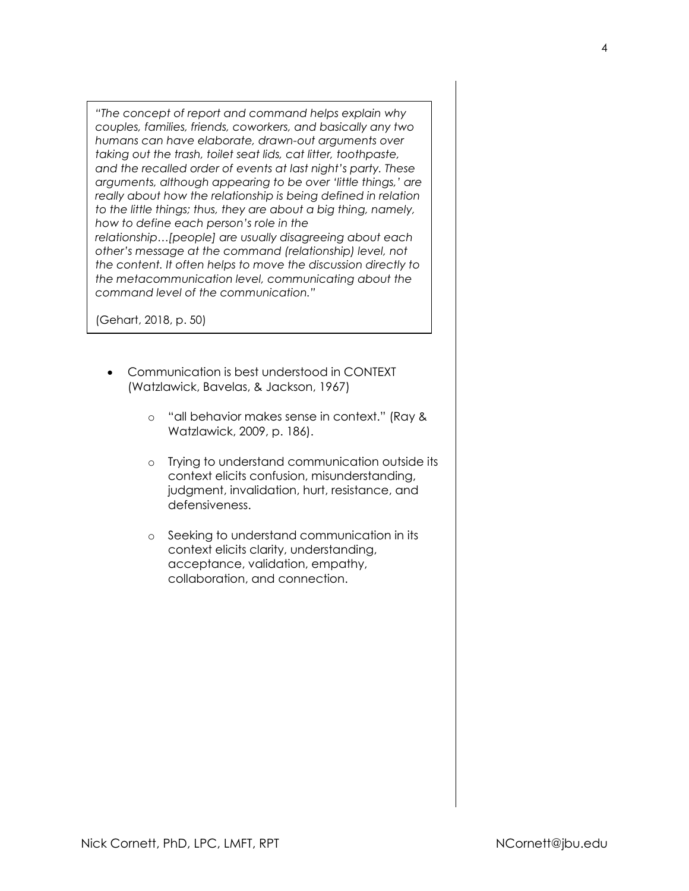*"The concept of report and command helps explain why couples, families, friends, coworkers, and basically any two humans can have elaborate, drawn-out arguments over taking out the trash, toilet seat lids, cat litter, toothpaste, and the recalled order of events at last night's party. These arguments, although appearing to be over 'little things,' are really about how the relationship is being defined in relation to the little things; thus, they are about a big thing, namely, how to define each person's role in the relationship…[people] are usually disagreeing about each other's message at the command (relationship) level, not the content. It often helps to move the discussion directly to the metacommunication level, communicating about the command level of the communication."*

(Gehart, 2018, p. 50)

- Communication is best understood in CONTEXT (Watzlawick, Bavelas, & Jackson, 1967)
	- o "all behavior makes sense in context." (Ray & Watzlawick, 2009, p. 186).
	- o Trying to understand communication outside its context elicits confusion, misunderstanding, judgment, invalidation, hurt, resistance, and defensiveness.
	- o Seeking to understand communication in its context elicits clarity, understanding, acceptance, validation, empathy, collaboration, and connection.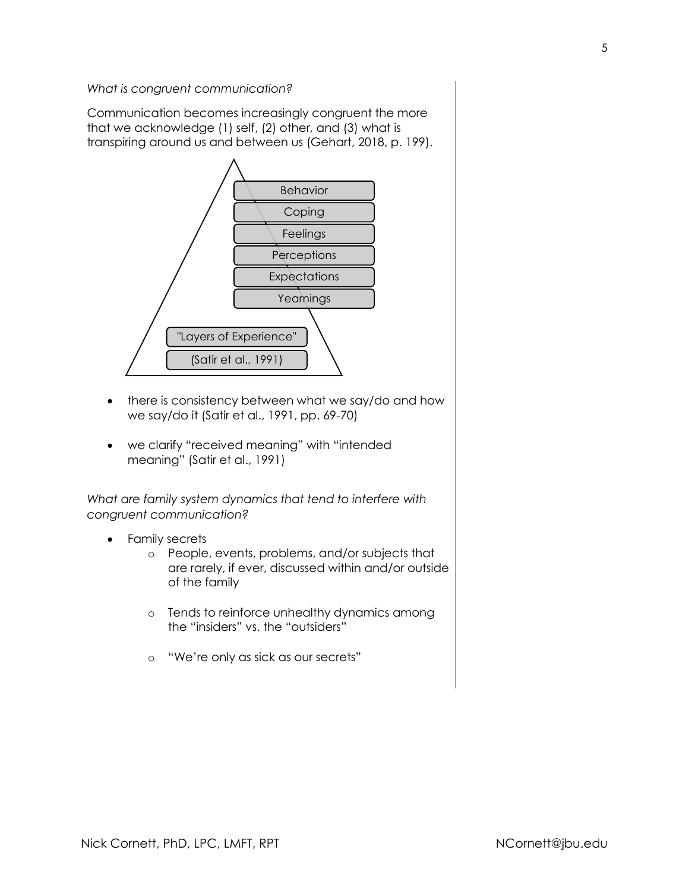*What is congruent communication?*

Communication becomes increasingly congruent the more that we acknowledge (1) self, (2) other, and (3) what is transpiring around us and between us (Gehart, 2018, p. 199).



- there is consistency between what we say/do and how we say/do it (Satir et al., 1991, pp. 69-70)
- we clarify "received meaning" with "intended meaning" (Satir et al., 1991)

*What are family system dynamics that tend to interfere with congruent communication?* 

- Family secrets
	- o People, events, problems, and/or subjects that are rarely, if ever, discussed within and/or outside of the family
	- o Tends to reinforce unhealthy dynamics among the "insiders" vs. the "outsiders"
	- o "We're only as sick as our secrets"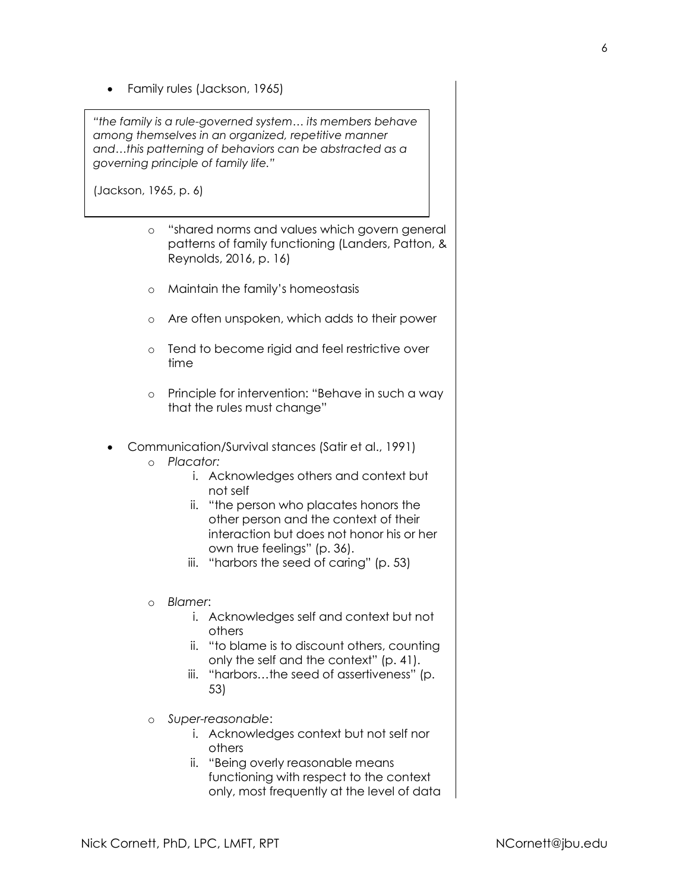Family rules (Jackson, 1965)

*"the family is a rule-governed system… its members behave among themselves in an organized, repetitive manner and…this patterning of behaviors can be abstracted as a governing principle of family life."*

(Jackson, 1965, p. 6)

- o "shared norms and values which govern general patterns of family functioning (Landers, Patton, & Reynolds, 2016, p. 16)
- o Maintain the family's homeostasis
- o Are often unspoken, which adds to their power
- o Tend to become rigid and feel restrictive over time
- o Principle for intervention: "Behave in such a way that the rules must change"
- Communication/Survival stances (Satir et al., 1991)
	- o *Placator:*
		- i. Acknowledges others and context but not self
		- ii. "the person who placates honors the other person and the context of their interaction but does not honor his or her own true feelings" (p. 36).
		- iii. "harbors the seed of caring" (p. 53)
	- o *Blamer*:
		- i. Acknowledges self and context but not others
		- ii. "to blame is to discount others, counting only the self and the context" (p. 41).
		- iii. "harbors…the seed of assertiveness" (p. 53)
	- o *Super-reasonable*:
		- i. Acknowledges context but not self nor others
		- ii. "Being overly reasonable means functioning with respect to the context only, most frequently at the level of data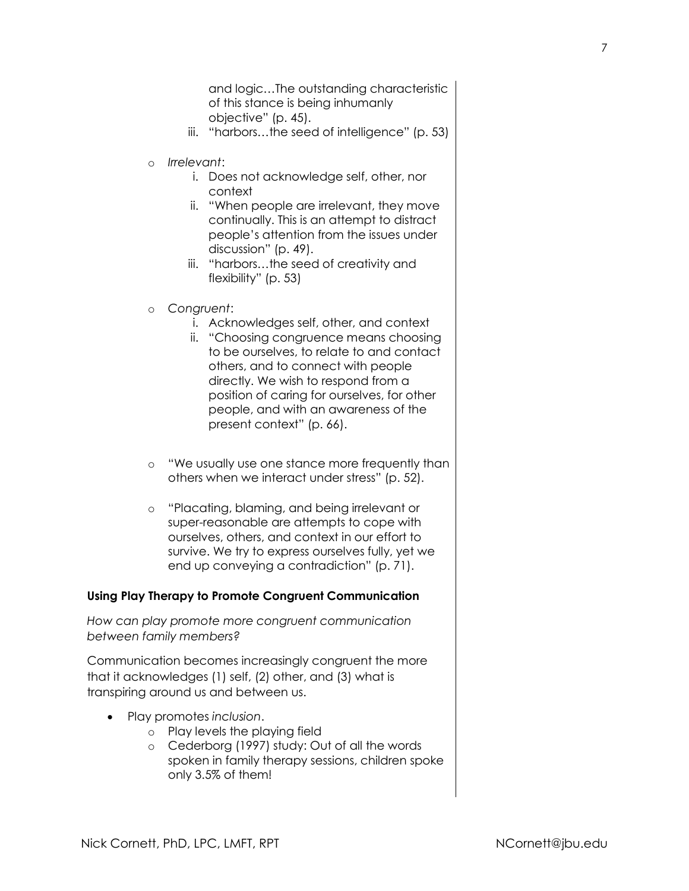and logic…The outstanding characteristic of this stance is being inhumanly objective" (p. 45).

- iii. "harbors…the seed of intelligence" (p. 53)
- o *Irrelevant*:
	- i. Does not acknowledge self, other, nor context
	- ii. "When people are irrelevant, they move continually. This is an attempt to distract people's attention from the issues under discussion" (p. 49).
	- iii. "harbors…the seed of creativity and flexibility" (p. 53)
- o *Congruent*:
	- i. Acknowledges self, other, and context
	- ii. "Choosing congruence means choosing to be ourselves, to relate to and contact others, and to connect with people directly. We wish to respond from a position of caring for ourselves, for other people, and with an awareness of the present context" (p. 66).
- o "We usually use one stance more frequently than others when we interact under stress" (p. 52).
- o "Placating, blaming, and being irrelevant or super-reasonable are attempts to cope with ourselves, others, and context in our effort to survive. We try to express ourselves fully, yet we end up conveying a contradiction" (p. 71).

#### **Using Play Therapy to Promote Congruent Communication**

*How can play promote more congruent communication between family members?* 

Communication becomes increasingly congruent the more that it acknowledges (1) self, (2) other, and (3) what is transpiring around us and between us.

- Play promotes *inclusion*.
	- o Play levels the playing field
	- o Cederborg (1997) study: Out of all the words spoken in family therapy sessions, children spoke only 3.5% of them!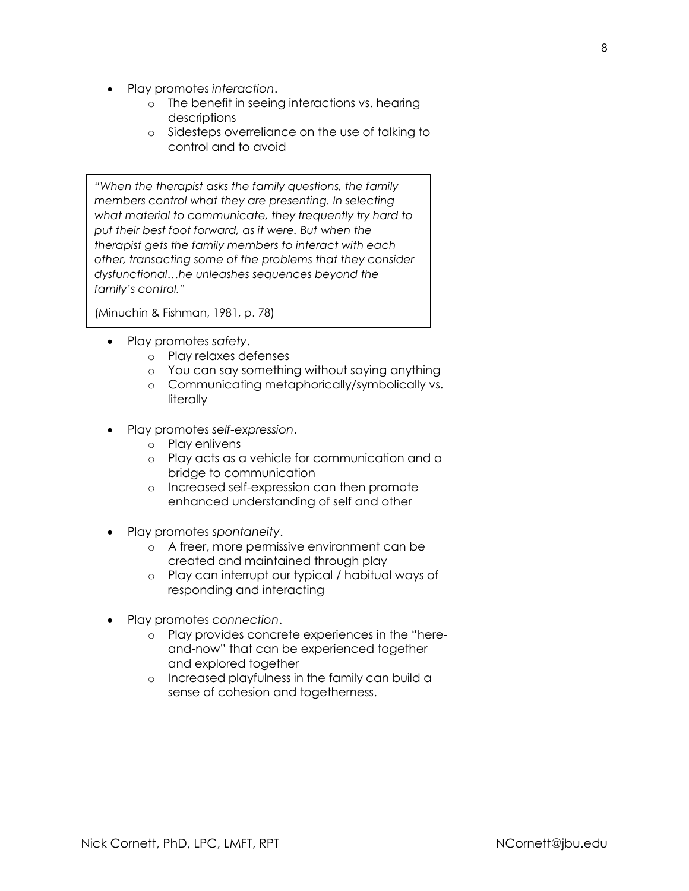- Play promotes *interaction*.
	- o The benefit in seeing interactions vs. hearing descriptions
	- o Sidesteps overreliance on the use of talking to control and to avoid

*"When the therapist asks the family questions, the family members control what they are presenting. In selecting what material to communicate, they frequently try hard to put their best foot forward, as it were. But when the therapist gets the family members to interact with each other, transacting some of the problems that they consider dysfunctional…he unleashes sequences beyond the family's control."* 

(Minuchin & Fishman, 1981, p. 78)

- Play promotes *safety*.
	- o Play relaxes defenses
	- o You can say something without saying anything
	- o Communicating metaphorically/symbolically vs. literally
- Play promotes *self-expression*.
	- o Play enlivens
	- o Play acts as a vehicle for communication and a bridge to communication
	- o Increased self-expression can then promote enhanced understanding of self and other
- Play promotes *spontaneity*.
	- o A freer, more permissive environment can be created and maintained through play
	- o Play can interrupt our typical / habitual ways of responding and interacting
- Play promotes *connection*.
	- o Play provides concrete experiences in the "hereand-now" that can be experienced together and explored together
	- o Increased playfulness in the family can build a sense of cohesion and togetherness.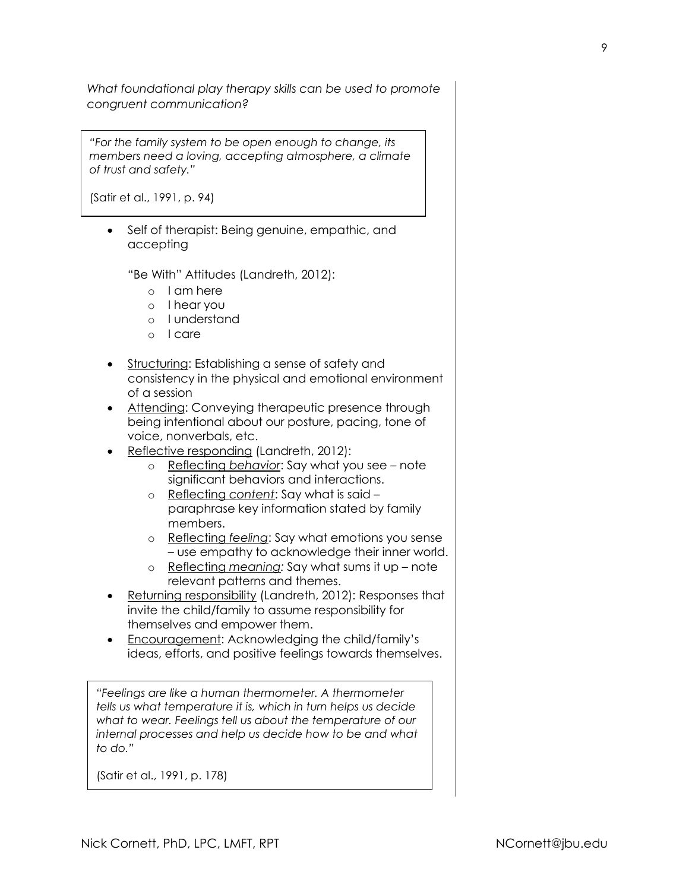*What foundational play therapy skills can be used to promote congruent communication?* 

*"For the family system to be open enough to change, its members need a loving, accepting atmosphere, a climate of trust and safety."*

(Satir et al., 1991, p. 94)

• Self of therapist: Being genuine, empathic, and accepting

"Be With" Attitudes (Landreth, 2012):

- o I am here
- o I hear you
- o I understand
- o I care
- Structuring: Establishing a sense of safety and consistency in the physical and emotional environment of a session
- Attending: Conveying therapeutic presence through being intentional about our posture, pacing, tone of voice, nonverbals, etc.
- Reflective responding (Landreth, 2012):
	- o Reflecting *behavior*: Say what you see note significant behaviors and interactions.
	- o Reflecting *content*: Say what is said paraphrase key information stated by family members.
	- o Reflecting *feeling*: Say what emotions you sense – use empathy to acknowledge their inner world.
	- o Reflecting *meaning:* Say what sums it up note relevant patterns and themes.
- Returning responsibility (Landreth, 2012): Responses that invite the child/family to assume responsibility for themselves and empower them.
- Encouragement: Acknowledging the child/family's ideas, efforts, and positive feelings towards themselves.

*"Feelings are like a human thermometer. A thermometer tells us what temperature it is, which in turn helps us decide what to wear. Feelings tell us about the temperature of our internal processes and help us decide how to be and what to do."* 

(Satir et al., 1991, p. 178)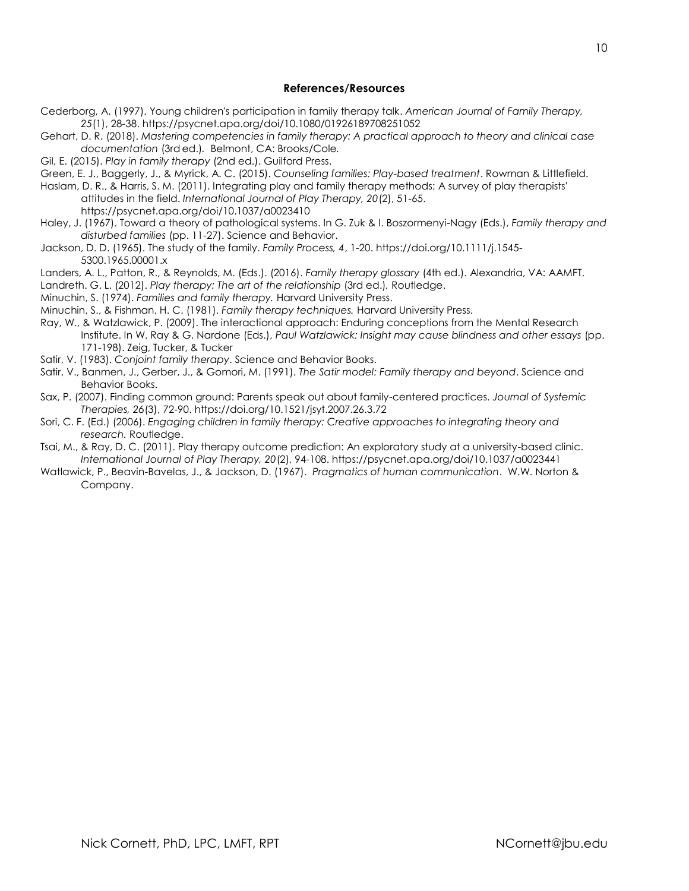#### **References/Resources**

- Cederborg, A. (1997). Young children's participation in family therapy talk. *American Journal of Family Therapy, 25*(1), 28-38. https://psycnet.apa.org/doi/10.1080/01926189708251052
- Gehart, D. R. (2018). *Mastering competencies in family therapy: A practical approach to theory and clinical case documentation* (3rd ed.)*.* Belmont, CA: Brooks/Cole*.*
- Gil, E. (2015). *Play in family therapy* (2nd ed.). Guilford Press.
- Green, E. J., Baggerly, J., & Myrick, A. C. (2015). *Counseling families: Play-based treatment*. Rowman & Littlefield.
- Haslam, D. R., & Harris, S. M. (2011). Integrating play and family therapy methods: A survey of play therapists' attitudes in the field. *International Journal of Play Therapy, 20*(2), 51-65. https://psycnet.apa.org/doi/10.1037/a0023410
- Haley, J. (1967). Toward a theory of pathological systems. In G. Zuk & I. Boszormenyi-Nagy (Eds.), *Family therapy and disturbed families* (pp. 11-27). Science and Behavior.
- Jackson, D. D. (1965). The study of the family. *Family Process, 4*, 1-20. https://doi.org/10.1111/j.1545- 5300.1965.00001.x
- Landers, A. L., Patton, R., & Reynolds, M. (Eds.). (2016). *Family therapy glossary* (4th ed.). Alexandria, VA: AAMFT.
- Landreth. G. L. (2012). *Play therapy: The art of the relationship* (3rd ed.)*.* Routledge.
- Minuchin, S. (1974). *Families and family therapy.* Harvard University Press.
- Minuchin, S., & Fishman, H. C. (1981). *Family therapy techniques.* Harvard University Press.
- Ray, W., & Watzlawick, P. (2009). The interactional approach: Enduring conceptions from the Mental Research Institute. In W. Ray & G. Nardone (Eds.), *Paul Watzlawick: Insight may cause blindness and other essays* (pp. 171-198). Zeig, Tucker, & Tucker
- Satir, V. (1983). *Conjoint family therapy*. Science and Behavior Books.
- Satir, V., Banmen, J., Gerber, J., & Gomori, M. (1991). *The Satir model: Family therapy and beyond*. Science and Behavior Books.
- Sax, P. (2007). Finding common ground: Parents speak out about family-centered practices. *Journal of Systemic Therapies, 26*(3), 72-90. https://doi.org/10.1521/jsyt.2007.26.3.72
- Sori, C. F. (Ed.) (2006). *Engaging children in family therapy: Creative approaches to integrating theory and research.* Routledge.
- Tsai, M., & Ray, D. C. (2011). Play therapy outcome prediction: An exploratory study at a university-based clinic. *International Journal of Play Therapy, 20*(2), 94-108. https://psycnet.apa.org/doi/10.1037/a0023441
- Watlawick, P., Beavin-Bavelas, J., & Jackson, D. (1967). *Pragmatics of human communication*. W.W. Norton & Company.